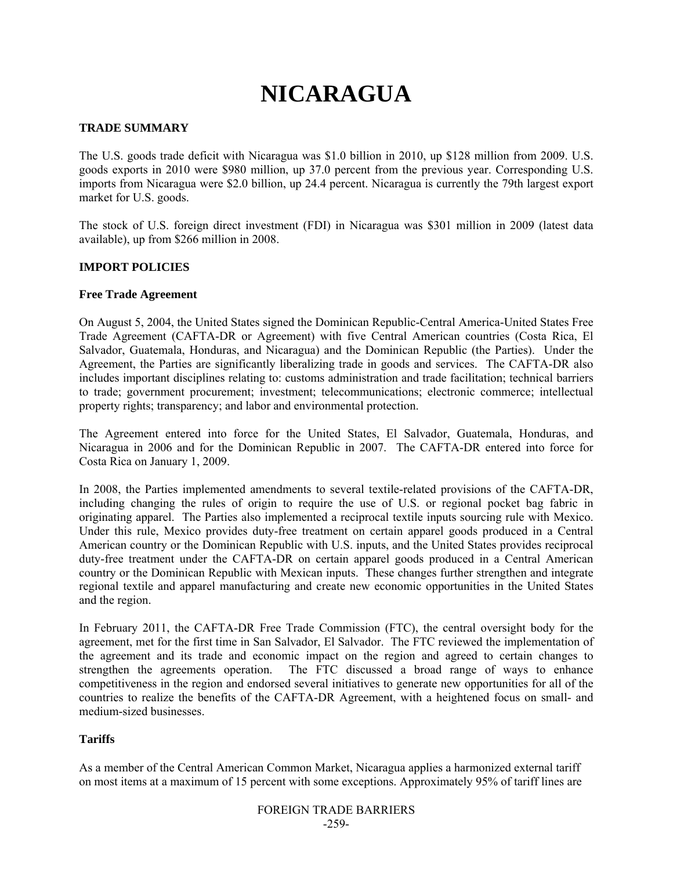# **NICARAGUA**

## **TRADE SUMMARY**

The U.S. goods trade deficit with Nicaragua was \$1.0 billion in 2010, up \$128 million from 2009. U.S. goods exports in 2010 were \$980 million, up 37.0 percent from the previous year. Corresponding U.S. imports from Nicaragua were \$2.0 billion, up 24.4 percent. Nicaragua is currently the 79th largest export market for U.S. goods.

The stock of U.S. foreign direct investment (FDI) in Nicaragua was \$301 million in 2009 (latest data available), up from \$266 million in 2008.

## **IMPORT POLICIES**

#### **Free Trade Agreement**

On August 5, 2004, the United States signed the Dominican Republic-Central America-United States Free Trade Agreement (CAFTA-DR or Agreement) with five Central American countries (Costa Rica, El Salvador, Guatemala, Honduras, and Nicaragua) and the Dominican Republic (the Parties). Under the Agreement, the Parties are significantly liberalizing trade in goods and services. The CAFTA-DR also includes important disciplines relating to: customs administration and trade facilitation; technical barriers to trade; government procurement; investment; telecommunications; electronic commerce; intellectual property rights; transparency; and labor and environmental protection.

The Agreement entered into force for the United States, El Salvador, Guatemala, Honduras, and Nicaragua in 2006 and for the Dominican Republic in 2007. The CAFTA-DR entered into force for Costa Rica on January 1, 2009.

In 2008, the Parties implemented amendments to several textile-related provisions of the CAFTA-DR, including changing the rules of origin to require the use of U.S. or regional pocket bag fabric in originating apparel. The Parties also implemented a reciprocal textile inputs sourcing rule with Mexico. Under this rule, Mexico provides duty-free treatment on certain apparel goods produced in a Central American country or the Dominican Republic with U.S. inputs, and the United States provides reciprocal duty-free treatment under the CAFTA-DR on certain apparel goods produced in a Central American country or the Dominican Republic with Mexican inputs. These changes further strengthen and integrate regional textile and apparel manufacturing and create new economic opportunities in the United States and the region.

In February 2011, the CAFTA-DR Free Trade Commission (FTC), the central oversight body for the agreement, met for the first time in San Salvador, El Salvador. The FTC reviewed the implementation of the agreement and its trade and economic impact on the region and agreed to certain changes to strengthen the agreements operation. The FTC discussed a broad range of ways to enhance competitiveness in the region and endorsed several initiatives to generate new opportunities for all of the countries to realize the benefits of the CAFTA-DR Agreement, with a heightened focus on small- and medium-sized businesses.

## **Tariffs**

As a member of the Central American Common Market, Nicaragua applies a harmonized external tariff on most items at a maximum of 15 percent with some exceptions. Approximately 95% of tariff lines are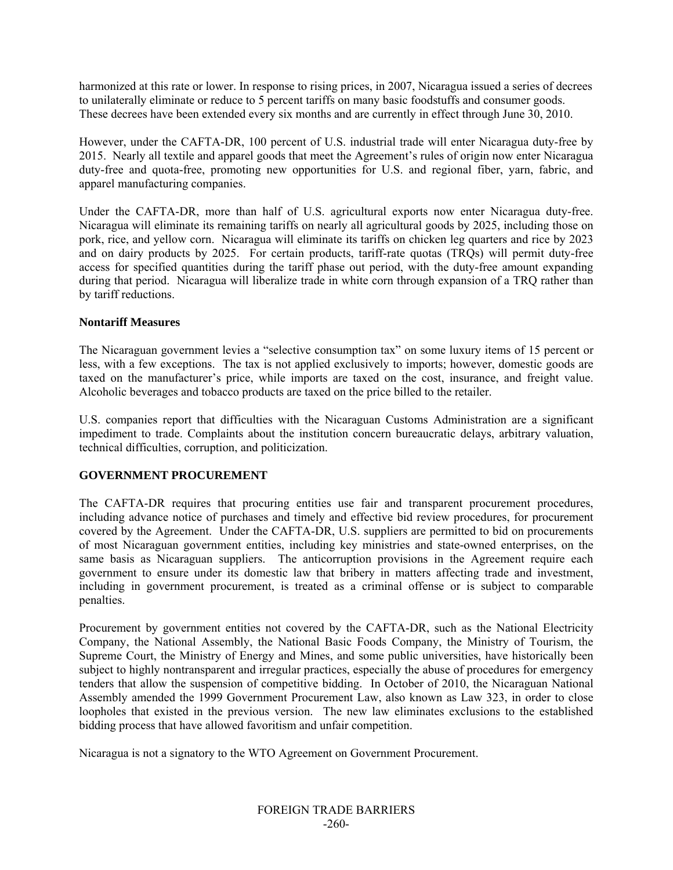harmonized at this rate or lower. In response to rising prices, in 2007, Nicaragua issued a series of decrees to unilaterally eliminate or reduce to 5 percent tariffs on many basic foodstuffs and consumer goods. These decrees have been extended every six months and are currently in effect through June 30, 2010.

However, under the CAFTA-DR, 100 percent of U.S. industrial trade will enter Nicaragua duty-free by 2015. Nearly all textile and apparel goods that meet the Agreement's rules of origin now enter Nicaragua duty-free and quota-free, promoting new opportunities for U.S. and regional fiber, yarn, fabric, and apparel manufacturing companies.

Under the CAFTA-DR, more than half of U.S. agricultural exports now enter Nicaragua duty-free. Nicaragua will eliminate its remaining tariffs on nearly all agricultural goods by 2025, including those on pork, rice, and yellow corn. Nicaragua will eliminate its tariffs on chicken leg quarters and rice by 2023 and on dairy products by 2025. For certain products, tariff-rate quotas (TRQs) will permit duty-free access for specified quantities during the tariff phase out period, with the duty-free amount expanding during that period. Nicaragua will liberalize trade in white corn through expansion of a TRQ rather than by tariff reductions.

## **Nontariff Measures**

The Nicaraguan government levies a "selective consumption tax" on some luxury items of 15 percent or less, with a few exceptions. The tax is not applied exclusively to imports; however, domestic goods are taxed on the manufacturer's price, while imports are taxed on the cost, insurance, and freight value. Alcoholic beverages and tobacco products are taxed on the price billed to the retailer.

U.S. companies report that difficulties with the Nicaraguan Customs Administration are a significant impediment to trade. Complaints about the institution concern bureaucratic delays, arbitrary valuation, technical difficulties, corruption, and politicization.

## **GOVERNMENT PROCUREMENT**

The CAFTA-DR requires that procuring entities use fair and transparent procurement procedures, including advance notice of purchases and timely and effective bid review procedures, for procurement covered by the Agreement. Under the CAFTA-DR, U.S. suppliers are permitted to bid on procurements of most Nicaraguan government entities, including key ministries and state-owned enterprises, on the same basis as Nicaraguan suppliers. The anticorruption provisions in the Agreement require each government to ensure under its domestic law that bribery in matters affecting trade and investment, including in government procurement, is treated as a criminal offense or is subject to comparable penalties.

Procurement by government entities not covered by the CAFTA-DR, such as the National Electricity Company, the National Assembly, the National Basic Foods Company, the Ministry of Tourism, the Supreme Court, the Ministry of Energy and Mines, and some public universities, have historically been subject to highly nontransparent and irregular practices, especially the abuse of procedures for emergency tenders that allow the suspension of competitive bidding. In October of 2010, the Nicaraguan National Assembly amended the 1999 Government Procurement Law, also known as Law 323, in order to close loopholes that existed in the previous version. The new law eliminates exclusions to the established bidding process that have allowed favoritism and unfair competition.

Nicaragua is not a signatory to the WTO Agreement on Government Procurement.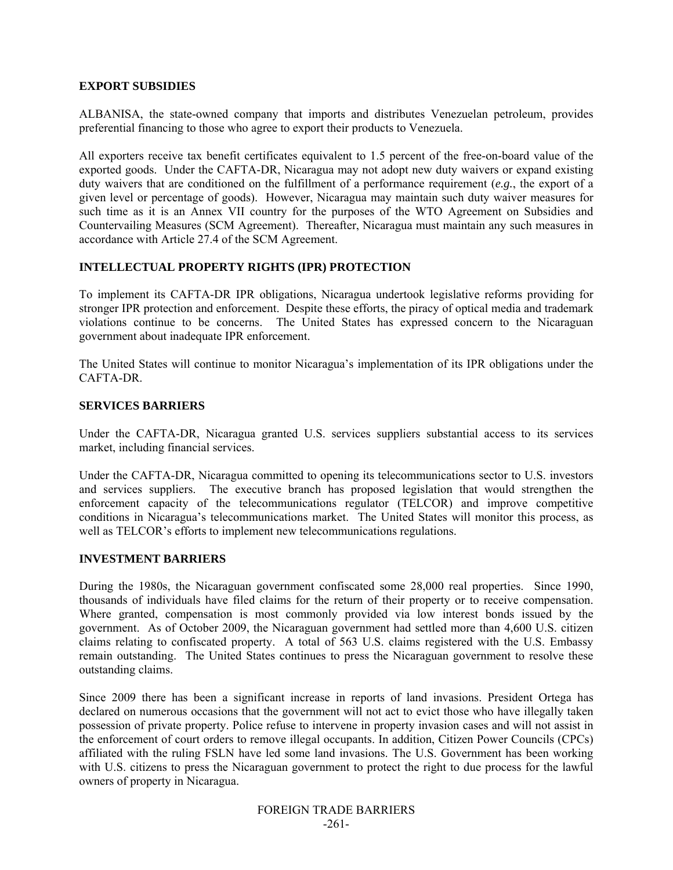#### **EXPORT SUBSIDIES**

ALBANISA, the state-owned company that imports and distributes Venezuelan petroleum, provides preferential financing to those who agree to export their products to Venezuela.

All exporters receive tax benefit certificates equivalent to 1.5 percent of the free-on-board value of the exported goods. Under the CAFTA-DR, Nicaragua may not adopt new duty waivers or expand existing duty waivers that are conditioned on the fulfillment of a performance requirement (*e.g.*, the export of a given level or percentage of goods). However, Nicaragua may maintain such duty waiver measures for such time as it is an Annex VII country for the purposes of the WTO Agreement on Subsidies and Countervailing Measures (SCM Agreement). Thereafter, Nicaragua must maintain any such measures in accordance with Article 27.4 of the SCM Agreement.

## **INTELLECTUAL PROPERTY RIGHTS (IPR) PROTECTION**

To implement its CAFTA-DR IPR obligations, Nicaragua undertook legislative reforms providing for stronger IPR protection and enforcement. Despite these efforts, the piracy of optical media and trademark violations continue to be concerns. The United States has expressed concern to the Nicaraguan government about inadequate IPR enforcement.

The United States will continue to monitor Nicaragua's implementation of its IPR obligations under the CAFTA-DR.

#### **SERVICES BARRIERS**

Under the CAFTA-DR, Nicaragua granted U.S. services suppliers substantial access to its services market, including financial services.

Under the CAFTA-DR, Nicaragua committed to opening its telecommunications sector to U.S. investors and services suppliers. The executive branch has proposed legislation that would strengthen the enforcement capacity of the telecommunications regulator (TELCOR) and improve competitive conditions in Nicaragua's telecommunications market. The United States will monitor this process, as well as TELCOR's efforts to implement new telecommunications regulations.

## **INVESTMENT BARRIERS**

During the 1980s, the Nicaraguan government confiscated some 28,000 real properties. Since 1990, thousands of individuals have filed claims for the return of their property or to receive compensation. Where granted, compensation is most commonly provided via low interest bonds issued by the government. As of October 2009, the Nicaraguan government had settled more than 4,600 U.S. citizen claims relating to confiscated property. A total of 563 U.S. claims registered with the U.S. Embassy remain outstanding. The United States continues to press the Nicaraguan government to resolve these outstanding claims.

Since 2009 there has been a significant increase in reports of land invasions. President Ortega has declared on numerous occasions that the government will not act to evict those who have illegally taken possession of private property. Police refuse to intervene in property invasion cases and will not assist in the enforcement of court orders to remove illegal occupants. In addition, Citizen Power Councils (CPCs) affiliated with the ruling FSLN have led some land invasions. The U.S. Government has been working with U.S. citizens to press the Nicaraguan government to protect the right to due process for the lawful owners of property in Nicaragua.